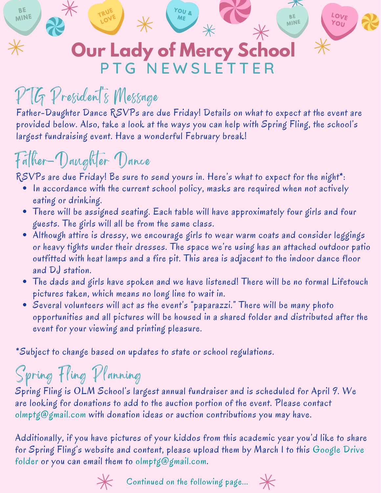#### **Our Lady of Mercy School** P T G N E W S L E T T E R

BE

MINE

# PTG President' s Message

BE

**MINE** 

Father-Daughter Dance RSVPs are due Friday! Details on what to expect at the event are provided below. Also, take a look at the ways you can help with Spring Fling, the school's largest fundraising event. Have a wonderful February break!

# Father-Daughter Dance

RSVPs are due Friday! Be sure to send yours in. Here's what to expect for the night\* :

- In accordance with the current school policy, masks are required when not actively eating or drinking.
- There will be assigned seating. Each table will have approximately four girls and four guests. The girls will all be from the same class.
- Although attire is dressy, we encourage girls to wear warm coats and consider leggings or heavy tights under their dresses. The space we're using has an attached outdoor patio outfitted with heat lamps and a fire pit. This area is adjacent to the indoor dance floor and DJ station.
- The dads and girls have spoken and we have listened! There will be no formal Lifetouch pictures taken, which means no long line to wait in.
- Several volunteers will act as the event's "paparazzi." There will be many photo opportunities and all pictures will be housed in a shared folder and distributed after the event for your viewing and printing pleasure.

\*Subject to change based on updates to state or school regulations.

# Spring Fling Planning

Spring Fling is OLM School's largest annual fundraiser and is scheduled for April 9. We are looking for donations to add to the auction portion of the event. Please contact olmptg@gmail.com with donation ideas or auction contributions you may have.

Additionally, if you have pictures of your kiddos from this academic year you'd like to share for Spring Fling's website and content, please upload them by March 1 to this [Google](https://drive.google.com/drive/folders/1jJjbkTnO68kkuLLI3VNe3lZlLOPhUSEZ?usp=sharing) Drive folder or you can email them to olmptg@gmail.com.



Continued on the following page...  $\quad \overleftarrow{\!\!\!\!\!\!\times}$